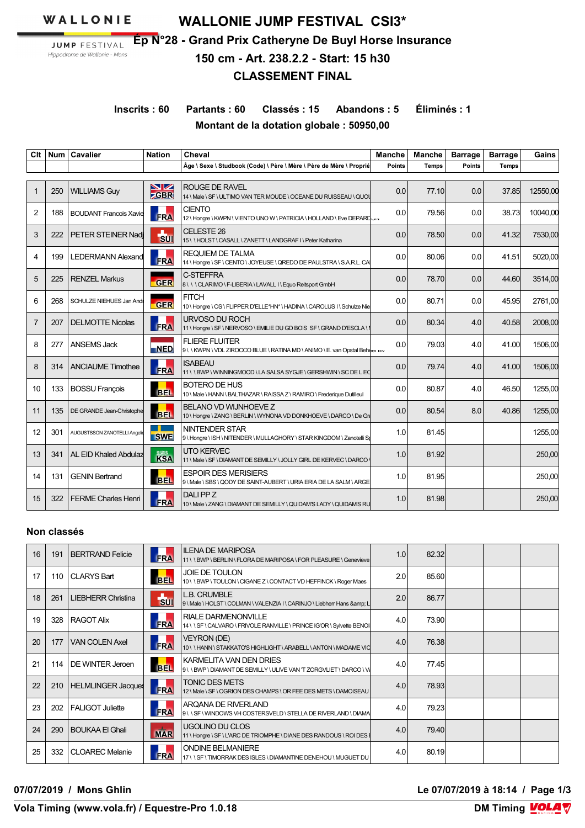WALLONIE

**JUMP FESTIVAL** Hippodrome de Wallonie - Mons

**WALLONIE JUMP FESTIVAL CSI3\* Ép N°28 - Grand Prix Catheryne De Buyl Horse Insurance 150 cm - Art. 238.2.2 - Start: 15 h30 CLASSEMENT FINAL**

**Inscrits : 60 Partants : 60 Classés : 15 Abandons : 5 Éliminés : 1 Montant de la dotation globale : 50950,00**

| Clt            | <b>Num</b> | <b>Cavalier</b>                 | <b>Nation</b>   | Cheval                                                                                                | <b>Manche</b> | Manche       | <b>Barrage</b> | <b>Barrage</b> | Gains    |
|----------------|------------|---------------------------------|-----------------|-------------------------------------------------------------------------------------------------------|---------------|--------------|----------------|----------------|----------|
|                |            |                                 |                 | Âge \ Sexe \ Studbook (Code) \ Père \ Mère \ Père de Mère \ Proprié                                   | Points        | <b>Temps</b> | <b>Points</b>  | <b>Temps</b>   |          |
| $\mathbf{1}$   | 250        | <b>WILLIAMS Guy</b>             | $\frac{N}{GBR}$ | <b>ROUGE DE RAVEL</b><br>14 \ Male \ SF \ ULTIMO VAN TER MOUDE \ OCEANE DU RUISSEAU \ QUO\            | 0.0           | 77.10        | 0.0            | 37.85          | 12550,00 |
| $\overline{2}$ | 188        | <b>BOUDANT Francois Xavie</b>   | <b>FRA</b>      | <b>CIENTO</b><br>12   Hongre   KWPN   VIENTO UNO W   PATRICIA   HOLLAND   Eve DEPARDUN                | 0.0           | 79.56        | 0.0            | 38.73          | 10040,00 |
| 3              | 222        | PETER STEINER Nadj              | b               | CELESTE 26<br>15 \\HOLST\CASALL\ZANETT\LANDGRAFI\Peter Katharina                                      | 0.0           | 78.50        | 0.0            | 41.32          | 7530,00  |
| 4              | 199        | <b>LEDERMANN Alexand</b>        | <b>FRA</b>      | <b>REQUIEM DE TALMA</b><br>14 \ Hongre \ SF \ CENTO \ JOYEUSE \ QREDO DE PAULSTRA \ S.A.R.L. CA       | 0.0           | 80.06        | 0.0            | 41.51          | 5020,00  |
| 5              | 225        | <b>RENZEL Markus</b>            | <b>GER</b>      | C-STEFFRA<br>8 \\\CLARIMO\F-LIBERIA\LAVALL I\Equo Reitsport GmbH                                      | 0.0           | 78.70        | 0.0            | 44.60          | 3514.00  |
| 6              | 268        | <b>SCHULZE NIEHUES Jan Andr</b> | <b>GER</b>      | <b>FITCH</b><br>10 \Hongre \OS \FLIPPER D'ELLE*HN* \HADINA \CAROLUS I \ Schulze Nie                   | 0.0           | 80.71        | 0.0            | 45.95          | 2761.00  |
| 7              | 207        | <b>DELMOTTE Nicolas</b>         | FRA             | URVOSO DU ROCH<br>11 \ Hongre \ SF \ NERVOSO \ EMILIE DU GD BOIS SF \ GRAND D'ESCLA \ I               | 0.0           | 80.34        | 4.0            | 40.58          | 2008,00  |
| 8              | 277        | <b>ANSEMS Jack</b>              | NED             | <b>FLIERE FLUITER</b><br>9 \ \ KWPN \ VDL ZIROCCO BLUE \ RATINA MD \ ANIMO \ E. van Opstal Beheer D v | 0.0           | 79.03        | 4.0            | 41.00          | 1506.00  |
| 8              | 314        | <b>ANCIAUME Timothee</b>        | <b>FRA</b>      | <b>ISABEAU</b><br>11 \ \BWP \ WINNINGMOOD \ LA SALSA SYGJE \ GERSHWIN \ SC DE L EQ                    | 0.0           | 79.74        | 4.0            | 41.00          | 1506,00  |
| 10             | 133        | <b>BOSSU François</b>           | <b>BEL</b>      | <b>BOTERO DE HUS</b><br>10 \ Male \ HANN \ BALTHAZAR \ RAISSA Z \ RAMIRO \ Frederique Dutilleul       | 0.0           | 80.87        | 4.0            | 46.50          | 1255,00  |
| 11             | 135        | DE GRANDE Jean-Christophe       | <b>BEL</b>      | BELANO VD WIJNHOEVE Z<br>10 \ Hongre \ ZANG \ BERLIN \ WYNONA VD DONKHOEVE \ DARCO \ De Gr            | 0.0           | 80.54        | 8.0            | 40.86          | 1255,00  |
| 12             | 301        | AUGUSTSSON ZANOTELLI Angelio    | <b>SWE</b>      | <b>NINTENDER STAR</b><br>9 \Hongre \ISH \NITENDER \MULLAGHORY \ STAR KINGDOM \ Zanotelli S            | 1.0           | 81.45        |                |                | 1255,00  |
| 13             | 341        | <b>AL EID Khaled Abdulaz</b>    | <b>KSA</b>      | <b>UTO KERVEC</b><br>11 \ Male \ SF \ DIAMANT DE SEMILLY \ JOLLY GIRL DE KERVEC \ DARCO               | 1.0           | 81.92        |                |                | 250,00   |
| 14             | 131        | <b>GENIN Bertrand</b>           | <b>BEL</b>      | <b>ESPOIR DES MERISIERS</b><br>9 \ Male \ SBS \ QODY DE SAINT-AUBERT \ URIA ERIA DE LA SALM \ ARGE    | 1.0           | 81.95        |                |                | 250,00   |
| 15             | 322        | <b>FERME Charles Henri</b>      | <b>FRA</b>      | DALI PP Z<br>10 \ Male \ ZANG \ DIAMANT DE SEMILLY \ QUIDAM'S LADY \ QUIDAM'S RU                      | 1.0           | 81.98        |                |                | 250,00   |

### **Non classés**

| 16 | 191 | <b>BERTRAND Felicie</b>   | <b>FRA</b>    | <b>ILENA DE MARIPOSA</b><br>11 \ \BWP \ BERLIN \ FLORA DE MARIPOSA \ FOR PLEASURE \ Genevieve        | 1.0 | 82.32 |  |  |
|----|-----|---------------------------|---------------|------------------------------------------------------------------------------------------------------|-----|-------|--|--|
| 17 | 110 | <b>CLARYS Bart</b>        | <b>BEL</b>    | <b>JOIE DE TOULON</b><br>10 \ \ BWP \ TOULON \ CIGANE Z \ CONTACT VD HEFFINCK \ Roger Maes           | 2.0 | 85.60 |  |  |
| 18 | 261 | <b>LIEBHERR Christina</b> | $\frac{1}{2}$ | L.B. CRUMBLE<br>9 \ Male \ HOLST \ COLMAN \ VALENZIA I \ CARINJO \ Liebherr Hans & L                 | 2.0 | 86.77 |  |  |
| 19 | 328 | <b>RAGOT Alix</b>         | <b>FRA</b>    | <b>RIALE DARMENONVILLE</b><br>14 \ \ SF \ CALVARO \ FRIVOLE RANVILLE \ PRINCE IG'OR \ Sylvette BENOI | 4.0 | 73.90 |  |  |
| 20 | 177 | <b>VAN COLEN Axel</b>     | <b>FRA</b>    | VEYRON (DE)<br>10 \\HANN\STAKKATO'S HIGHLIGHT\ARABELL\ANTON\MADAMEVIO                                | 4.0 | 76.38 |  |  |
| 21 | 114 | DE WINTER Jeroen          | <b>BEL</b>    | KARMELITA VAN DEN DRIES<br>9\\BWP\DIAMANTDE SEMILLY\ULIVE VAN 'T ZORGVLIET\DARCO\V                   | 4.0 | 77.45 |  |  |
| 22 | 210 | <b>HELMLINGER Jacques</b> | <b>FRA</b>    | <b>TONIC DES METS</b><br>12   Male   SF   OGRION DES CHAMPS   OR FEE DES METS   DAMOISEAU            | 4.0 | 78.93 |  |  |
| 23 | 202 | <b>FALIGOT Juliette</b>   | <b>FRA</b>    | ARQANA DE RIVERLAND<br>9\\SF\WINDOWSVHCOSTERSVELD\STELLADE RIVERLAND\DIAMA                           | 4.0 | 79.23 |  |  |
| 24 | 290 | <b>BOUKAA El Ghali</b>    | <b>MAR</b>    | UGOLINO DU CLOS<br>11 \ Hongre \ SF \ L'ARC DE TRIOMPHE \ DIANE DES RANDOUS \ ROI DES I              | 4.0 | 79.40 |  |  |
| 25 | 332 | <b>CLOAREC Melanie</b>    | <b>FRA</b>    | <b>ONDINE BELMANIERE</b><br>17 \ \ SF \ TIMORRAK DES ISLES \ DIAMANTINE DENEHOU \ MUGUET DU          | 4.0 | 80.19 |  |  |

**07/07/2019 / Mons Ghlin Le 07/07/2019 à 18:14 / Page 1/3**

**Vola Timing (www.vola.fr) / Equestre-Pro 1.0.18**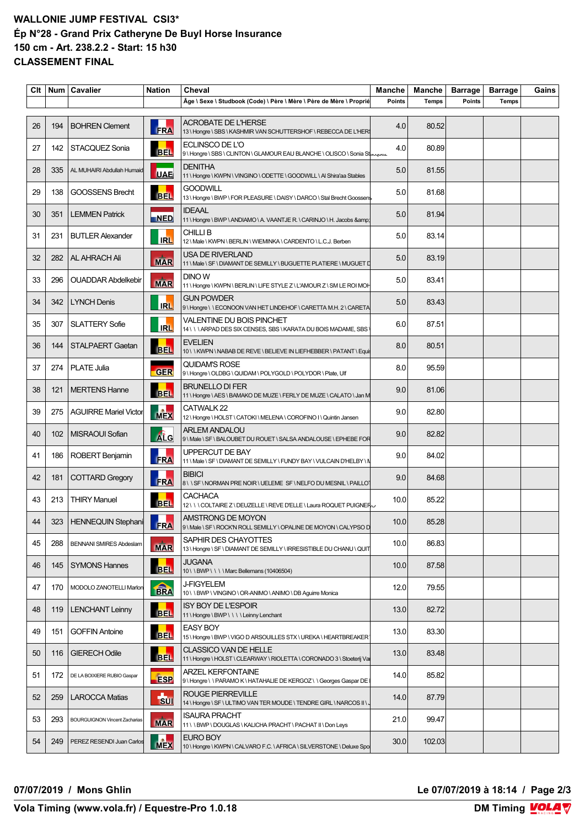### **WALLONIE JUMP FESTIVAL CSI3\* Ép N°28 - Grand Prix Catheryne De Buyl Horse Insurance 150 cm - Art. 238.2.2 - Start: 15 h30 CLASSEMENT FINAL**

| Clt |     | Num   Cavalier                       | <b>Nation</b>  | Cheval                                                                                          | Manche        | Manche       | <b>Barrage</b> | <b>Barrage</b> | Gains |
|-----|-----|--------------------------------------|----------------|-------------------------------------------------------------------------------------------------|---------------|--------------|----------------|----------------|-------|
|     |     |                                      |                | Âge \ Sexe \ Studbook (Code) \ Père \ Mère \ Père de Mère \ Proprié                             | <b>Points</b> | <b>Temps</b> | <b>Points</b>  | <b>Temps</b>   |       |
| 26  | 194 | <b>BOHREN Clement</b>                | <b>FRA</b>     | ACROBATE DE L'HERSE<br>13 \ Hongre \ SBS \ KASHMIR VAN SCHUTTERSHOF \ REBECCA DE L'HER          | 4.0           | 80.52        |                |                |       |
| 27  | 142 | STACQUEZ Sonia                       | <b>BEL</b>     | ECLINSCO DE L'O<br>9\Hongre\SBS\CLINTON\GLAMOUR EAU BLANCHE\OLISCO\Sonia Stacquez               | 4.0           | 80.89        |                |                |       |
| 28  | 335 | AL MUHAIRI Abdullah Humaid           | <b>UAE</b>     | <b>DENITHA</b><br>11 \ Hongre \ KWPN \ VINGINO \ ODETTE \ GOODWILL \ AI Shira'aa Stables        | 5.0           | 81.55        |                |                |       |
| 29  | 138 | <b>GOOSSENS Brecht</b>               | <b>BEL</b>     | <b>GOODWILL</b><br>13 \ Hongre \ BWP \ FOR PLEASURE \ DAISY \ DARCO \ Stal Brecht Goossens      | 5.0           | 81.68        |                |                |       |
| 30  | 351 | <b>LEMMEN Patrick</b>                | <b>NED</b>     | <b>IDEAAL</b><br>11 \ Hongre \ BWP \ ANDIAMO \ A. VAANTJE R. \ CARINJO \ H. Jacobs &            | 5.0           | 81.94        |                |                |       |
| 31  | 231 | <b>BUTLER Alexander</b>              | <b>IRL</b>     | <b>CHILLIB</b><br>12 \ Male \ KWPN \ BERLIN \ WIEMINKA \ CARDENTO \ L.C.J. Berben               | 5.0           | 83.14        |                |                |       |
| 32  | 282 | <b>AL AHRACH Ali</b>                 | <b>MAR</b>     | USA DE RIVERLAND                                                                                | 5.0           | 83.19        |                |                |       |
| 33  | 296 | <b>OUADDAR Abdelkebir</b>            | <b>MAR</b>     | DINO W<br>11 \ Hongre \ KWPN \ BERLIN \ LIFE STYLE Z \ L'AMOUR Z \ SM LE ROI MOH                | 5.0           | 83.41        |                |                |       |
| 34  | 342 | <b>LYNCH Denis</b>                   | <b>IRL</b>     | <b>GUN POWDER</b><br>9\Hongre\\ECONOON VAN HET LINDEHOF\CARETTA M.H. 2\CARETA                   | 5.0           | 83.43        |                |                |       |
| 35  | 307 | <b>SLATTERY Sofie</b>                | <b>IRL</b>     | VALENTINE DU BOIS PINCHET<br>14 \\\ARPAD DES SIX CENSES, SBS \KARATA DU BOIS MADAME, SBS        | 6.0           | 87.51        |                |                |       |
| 36  | 144 | <b>STALPAERT Gaetan</b>              | <b>BEL</b>     | <b>EVELIEN</b><br>10\\KWPN\NABABDEREVE\BELIEVEINLIEFHEBBER\PATANT\Equi                          | 8.0           | 80.51        |                |                |       |
| 37  | 274 | <b>PLATE Julia</b>                   | <b>GER</b>     | <b>QUIDAM'S ROSE</b><br>9 \ Hongre \ OLDBG \ QUIDAM \ POLYGOLD \ POLYDOR \ Plate, Ulf           | 8.0           | 95.59        |                |                |       |
| 38  | 121 | <b>MERTENS Hanne</b>                 | <b>BEL</b>     | <b>BRUNELLO DI FER</b><br>11 \ Hongre \ AES \ BAMAKO DE MUZE \ FERLY DE MUZE \ CALATO \ Jan M   | 9.0           | 81.06        |                |                |       |
| 39  | 275 | <b>AGUIRRE Mariel Victor</b>         | <b>MEX</b>     | CATWALK 22<br>12 \ Hongre \ HOLST \ CATOKI \ MELENA \ COROFINO I \ Quintin Jansen               | 9.0           | 82.80        |                |                |       |
| 40  | 102 | MISRAOUI Sofian                      | Atc            | <b>ARLEM ANDALOU</b><br>9 \ Male \ SF \ BALOUBET DU ROUET \ SALSA ANDALOUSE \ EPHEBE FOR        | 9.0           | 82.82        |                |                |       |
| 41  | 186 | ROBERT Benjamin                      | FRA            | UPPERCUT DE BAY<br>11 \ Male \ SF \ DIAMANT DE SEMILLY \ FUNDY BAY \ VULCAIN D'HELBY \ N        | 9.0           | 84.02        |                |                |       |
| 42  | 181 | <b>COTTARD Gregory</b>               | FRA            | <b>BIBICI</b><br>8\\SF\NORMAN PRE NOIR\UELEME SF\NELFO DU MESNIL\PAILLOT                        | 9.0           | 84.68        |                |                |       |
| 43  | 213 | <b>THIRY Manuel</b>                  | <b>BEL</b>     | <b>CACHACA</b><br>12 \\COLTAIRE Z\DEUZELLE\REVE D'ELLE\Laura ROQUET PUIGNER                     | 10.0          | 85.22        |                |                |       |
| 44  |     | 323   HENNEQUIN Stephani             | <b>FRA</b>     | AMSTRONG DE MOYON<br>9 \ Male \ SF \ ROCK'N ROLL SEMILLY \ OPALINE DE MOYON \ CALYPSO D         | 10.0          | 85.28        |                |                |       |
| 45  | 288 | <b>BENNANI SMIRES Abdeslam</b>       | <b>MAR</b>     | SAPHIR DES CHAYOTTES<br>13 \Hongre \ SF \DIAMANT DE SEMILLY \ IRRESISTIBLE DU CHANU \ QUIT      | 10.0          | 86.83        |                |                |       |
| 46  | 145 | <b>SYMONS Hannes</b>                 | <b>BEL</b>     | <b>JUGANA</b><br>10 \ \ BWP \ \ \ \ Marc Bellemans (10406504)                                   | 10.0          | 87.58        |                |                |       |
| 47  | 170 | MODOLO ZANOTELLI Marlon              | <b>BRA</b>     | <b>J-FIGYELEM</b><br>10 \ \ BWP \ VINGINO \ OR-ANIMO \ ANIMO \ DB Aguirre Monica                | 12.0          | 79.55        |                |                |       |
| 48  | 119 | <b>LENCHANT Leinny</b>               | <b>BEL</b>     | <b>ISY BOY DE L'ESPOIR</b><br>11 \ Hongre \ BWP \ \ \ \ Leinny Lenchant                         | 13.0          | 82.72        |                |                |       |
| 49  | 151 | <b>GOFFIN Antoine</b>                | <b>BEL</b>     | <b>EASY BOY</b><br>15 \ Hongre \ BWP \ VIGO D ARSOUILLES STX \ UREKA \ HEARTBREAKER             | 13.0          | 83.30        |                |                |       |
| 50  | 116 | <b>GIERECH Odile</b>                 | <b>BEL</b>     | CLASSICO VAN DE HELLE<br>11 \ Hongre \ HOLST \ CLEARWAY \ RIOLETTA \ CORONADO 3 \ Stoeterij Va  | 13.0          | 83.48        |                |                |       |
| 51  | 172 | DE LA BOIXIERE RUBIO Gaspar          | <b>ESP</b>     | <b>ARZEL KERFONTAINE</b><br>9 \ Hongre \ \ PARAMO K \ HATAHALIE DE KERGOZ \ \ Georges Gaspar DE | 14.0          | 85.82        |                |                |       |
| 52  | 259 | <b>LAROCCA Matias</b>                | $\frac{1}{30}$ | ROUGE PIERREVILLE<br>14 \ Hongre \ SF \ ULTIMO VAN TER MOUDE \ TENDRE GIRL \ NARCOS II \.       | 14.0          | 87.79        |                |                |       |
| 53  | 293 | <b>BOURGUIGNON Vincent Zacharias</b> | <b>MAR</b>     | <b>ISAURA PRACHT</b><br>11\\BWP\DOUGLAS\KALICHA PRACHT\PACHAT II\Don Leys                       | 21.0          | 99.47        |                |                |       |
| 54  | 249 | PEREZ RESENDI Juan Carlos            | <b>MEX</b>     | EURO BOY<br>10 \ Hongre \ KWPN \ CALVARO F.C. \ AFRICA \ SILVERSTONE \ Deluxe Spo               | 30.0          | 102.03       |                |                |       |

**07/07/2019 / Mons Ghlin Le 07/07/2019 à 18:14 / Page 2/3**